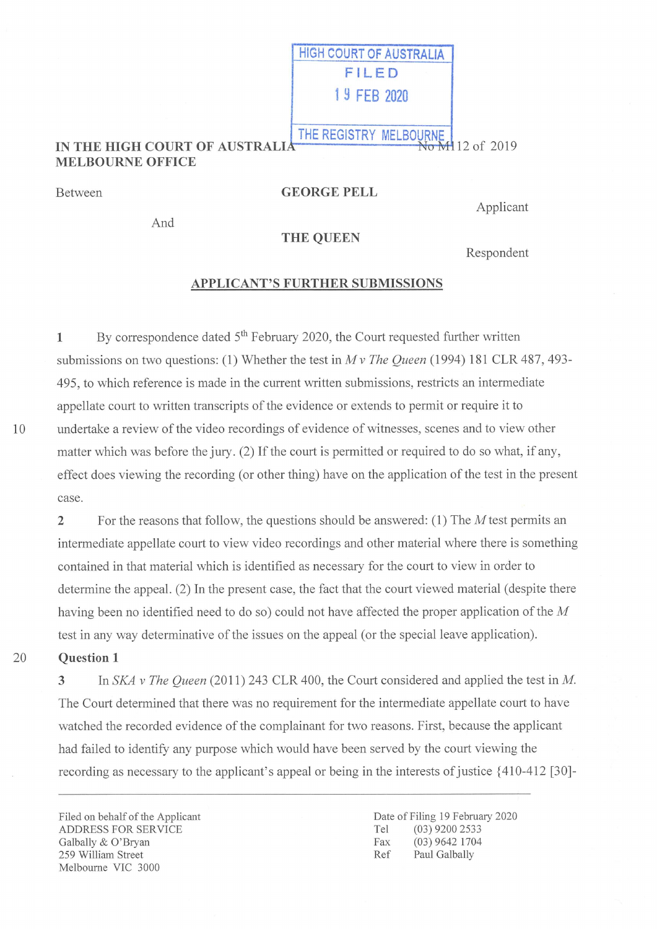#### IN THE HIGH COURT OF AUSTRALIA MELBOURNE OFFICE THE REGISTRY MELBOURNE **Vo M112** of 2019

Between

# GEORGE FELL

HIGH COURT OF AUSTRALIA FILED I S FEB 2020

And

Applicant

### THE QUEEN

Respondent

# APPLICANT'S FURTHER SUBMISSIONS

 $1$  By correspondence dated  $5<sup>th</sup>$  February 2020, the Court requested further written submissions on two questions: (1) Whether the test in  $Mv$  The Queen (1994) 181 CLR 487, 493-495, to which reference is made in the current written submissions, restricts an intermediate appellate court to written transcripts of the evidence or extends to permit or require it to undertake a review of the video recordings of evidence of witnesses, scenes and to view other matter which was before the jury. (2) If the court is permitted or required to do so what, if any, effect does viewing the recording (or other thing) have on the application of the test in the present case

2 For the reasons that follow, the questions should be answered:  $(1)$  The M test permits an intermediate appellate court to view video recordings and other material where there is something contained in that material which is identified as necessary for the court to view in order to determine the appeal. (2) In the present case, the fact that the court viewed material (despite there having been no identified need to do so) could not have affected the proper application of the M test in any way determinative of the issues on the appeal (or the special leave application).

20

10

## Question I

3 In SKA v The Queen (2011) 243 CLR 400, the Court considered and applied the test in M. The Court determined that there was no requirement for the intermediate appellate court to have watched the recorded evidence of the complainant for two reasons. First, because the applicant had failed to identify any purpose which would have been served by the court viewing the recording as necessary to the applicant's appeal or being in the interests of justice  $\{410-412$  [30]-

Filed on behalf of the Applicant ADDRESS FOR SERVICE Galbally & 0'Bryan 259 William Street MeIboume VIC 3000

Date of Filing 19 February 2020<br>Tel (03) 9200 2533 Tel (03) 9200 2533<br>Fax (03) 9642 1704 (03) 9642 1704 Ref Paul Galbally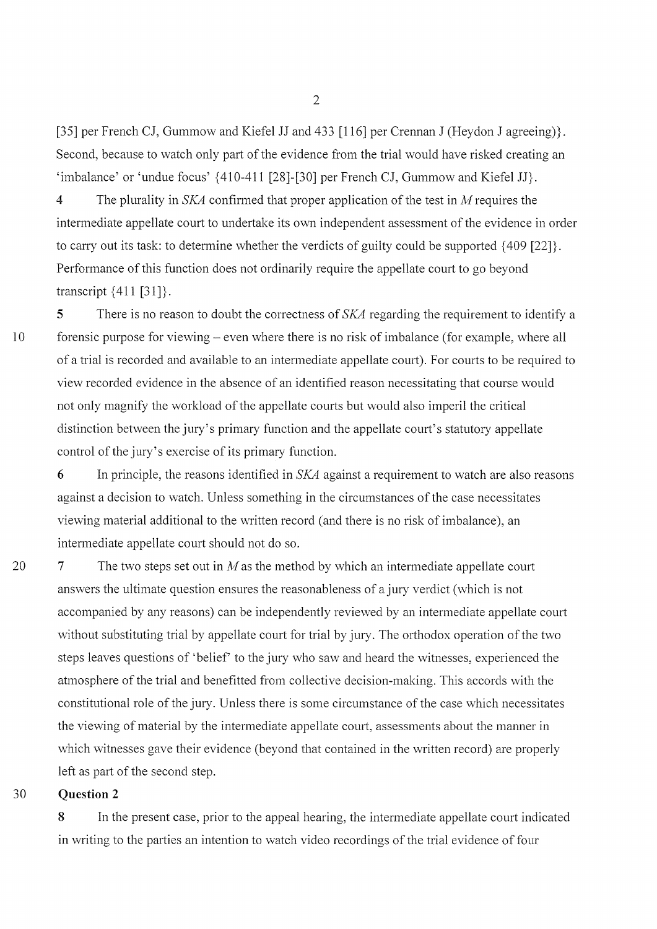[35] per French CJ, Gummow and Kiefel JJ and 433 [116] per Crennan J (Heydon J agreeing)}. Second, because to watch only part of the evidence from the trial would have risked creating an 'imbalance' or 'undue focus'  $\{410-411$  [28]-[30] per French CJ, Gummow and Kiefel JJ}.

4 The plurality in SKA confirmed that proper application of the test in M requires the intermediate appellate court to undertake its own independent assessment of the evidence in order to carry out its task: to determine whether the verdicts of guilty could be supported  $\{409\}$  [22]}. Performance of this function does not ordinarily require the appellate court to go beyond transcript  $\{411 [31]\}.$ 

5 There is no reason to doubt the correctness of SKA regarding the requirement to identify a forensic purpose for viewing – even where there is no risk of imbalance (for example, where all of a trial is recorded and available to an intermediate appellate court). For courts to be required to view recorded evidence in the absence of an identified reason necessitating that course would not only magnify the workload of the appellate courts but would also imperil the critical distinction between the jury's primary function and the appellate court's statutory appellate control of the jury's exercise of its primary function.

6 In principle, the reasons identified in  $SKA$  against a requirement to watch are also reasons against a decision to watch. Unless something in the circumstances of the case necessitates viewing material additional to the written record (and there is no risk of imbalance), an intermediate appellate court should not do so

7 The two steps set out in M as the method by which an intermediate appellate court answers the ultimate question ensures the reasonableness of a jury verdict (which is not accompanied by any reasons) can be independently reviewed by an intermediate appellate court without substituting trial by appellate court for trial by jury. The orthodox operation of the two steps leaves questions of 'belief' to the jury who saw and heard the witnesses, experienced the atmosphere of the trial and benefitted from collective decision-making. This accords with the constitutional role of the jury. Unless there is some circumstance of the case which necessitates the viewing of material by the intermediate appellate court, assessments about the manner in which witnesses gave their evidence (beyond that contained in the written record) are properly left as part of the second step.

#### Question 2 'O

10

20

8 In the present case, prior to the appeal hearing, the intermediate appellate court indicated in writing to the parties an intention to watch video recordings of the trial evidence of four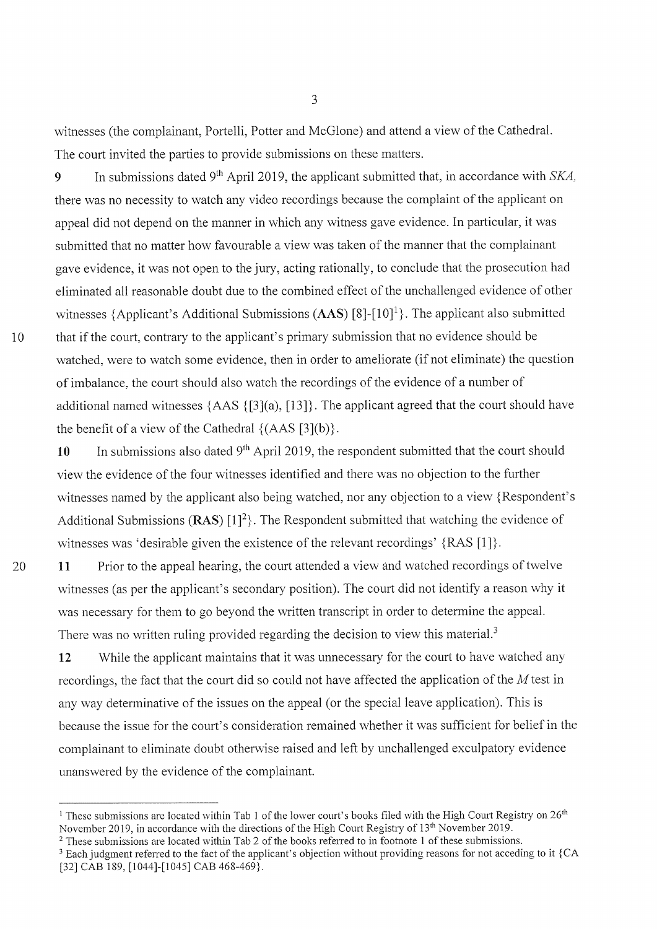witnesses (the complainant, Portelli, Potter and McGlone) and attend a view of the Cathedral. The court invited the parties to provide submissions on these matters.

9 In submissions dated 9<sup>th</sup> April 2019, the applicant submitted that, in accordance with SKA, there was no necessity to watch any video recordings because the complaint of the applicant on appeal did not depend on the manner in which any witness gave evidence. In particular, it was submitted that no matter how favourable a view was taken of the manner that the complainant gave evidence, it was not open to the jury, acting rationally, to conclude that the prosecution had eliminated all reasonable doubt due to the combined effect of the unchallenged evidence of other witnesses {Applicant's Additional Submissions  $(AdS)$  [8]-[10]<sup>1</sup>}. The applicant also submitted that if the court, contrary to the applicant's primary submission that no evidence should be watched, were to watch some evidence, then in order to ameliorate (if not eliminate) the question of imbalance, the court should also watch the recordings of the evidence of a number of additional named witnesses  $\{AAS \{[3](a), [13]\}\}\$ . The applicant agreed that the court should have the benefit of a view of the Cathedral  $\{(AAS [3](b)\}.$ 

10

20

10 In submissions also dated  $9<sup>th</sup>$  April 2019, the respondent submitted that the court should view the evidence of the four witnesses identified and there was no objection to the further witnesses named by the applicant also being watched, nor any objection to a view {Respondent's Additional Submissions (RAS)  $[1]^2$ . The Respondent submitted that watching the evidence of witnesses was 'desirable given the existence of the relevant recordings'  $\{RAS [1]\}.$ 

11 Prior to the appeal hearing, the court attended a view and watched recordings of twelve witnesses (as per the applicant's secondary position). The court did not identify a reason why it was necessary for them to go beyond the written transcript in order to determine the appeal. There was no written ruling provided regarding the decision to view this material.<sup>3</sup>

12 While the applicant maintains that it was unnecessary for the court to have watched any recordings, the fact that the court did so could not have affected the application of the  $M$  test in any way determinative of the issues on the appeal (or the special leave application). This is because the issue for the court's consideration remained whether it was sufficient for belief in the complainant to eliminate doubt otherwise raised and left by unchallenged exculpatory evidence unanswered by the evidence of the complainant.

<sup>&</sup>lt;sup>1</sup> These submissions are located within Tab 1 of the lower court's books filed with the High Court Registry on  $26<sup>th</sup>$ November 2019, in accordance with the directions of the High Court Registry of  $13<sup>th</sup>$  November 2019.

<sup>&</sup>lt;sup>2</sup> These submissions are located within Tab 2 of the books referred to in footnote 1 of these submissions.

<sup>&</sup>lt;sup>3</sup> Each judgment referred to the fact of the applicant's objection without providing reasons for not acceding to it {CA [32] CAB 189, [1044]-[1045] CAB 468-469}.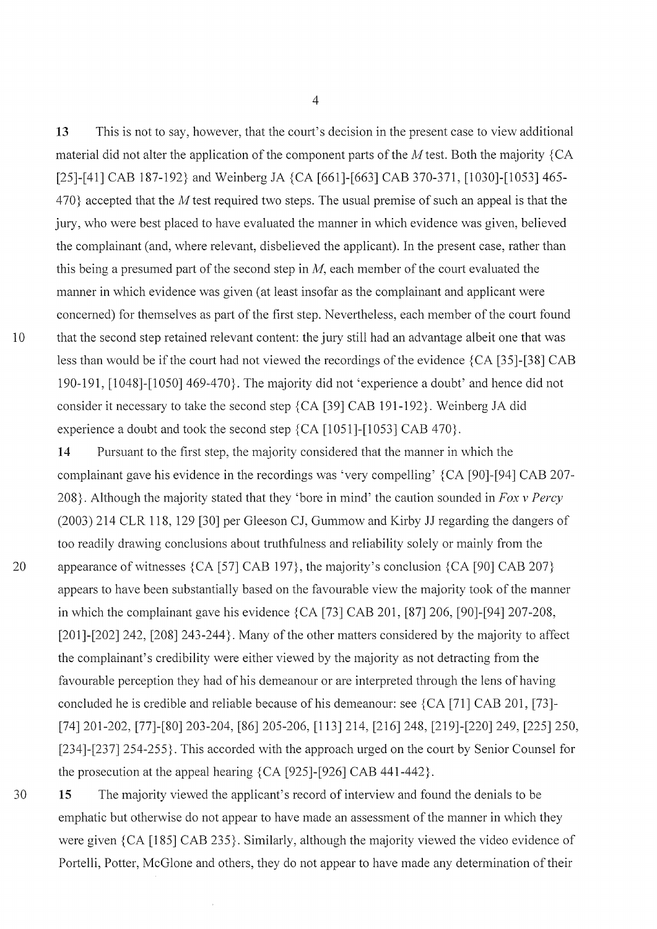13 This is not to say, however, that the court's decision in the present case to view additional material did not alter the application of the component parts of the  $M$  test. Both the majority  ${CA}$ [25]-[41] CAB 187-192} and Weinberg JA  $\{CA$  [661]-[663] CAB 370-371, [1030]-[1053] 465-470} accepted that the M test required two steps. The usual premise of such an appeal is that the jury, who were best placed to have evaluated the manner in which evidence was given, believed the complainant (and, where relevant, disbelieved the applicant). In the present case, rather than this being a presumed part of the second step in  $M$ , each member of the court evaluated the manner in which evidence was given (at least insofar as the complainant and applicant were concerned) for themselves as part of the first step. Nevertheless, each member of the court found that the second step retained relevant content: the jury still had an advantage albeit one that was less than would be if the court had not viewed the recordings of the evidence  ${CA}$  [35]-[38] CAB 190-191,  $[1048]$ - $[1050]$  469-470}. The majority did not 'experience a doubt' and hence did not consider it necessary to take the second step  ${CA}$  [39] CAB 191-192 $}$ . Weinberg JA did experience a doubt and took the second step  ${CA}$  [1051]-[1053] CAB 470 $}.$ 

14 Pursuant to the first step, the majority considered that the manner in which the complainant gave his evidence in the recordings was 'very compelling' {CA [90]-[94] CAB 207-208}. Although the majority stated that they 'bore in mind' the caution sounded in Fox v Percy (2003) 214 CLR 118, 129 [30] per Gleeson CJ, Gummow and Kirby JJ regarding the dangers of too readily drawing conclusions about truthfulness and reliability solely or mainly from the appearance of witnesses  $\{CA \mid 57\}$  CAB 197}, the majority's conclusion  $\{CA \mid 90\}$  CAB 207} appears to have been substantially based on the favourable view the majority took of the manner in which the complainant gave his evidence  ${CA$  [73] CAB 201, [87] 206, [90]-[94] 207-208, [ $201$ ]- $[202]$  242, [ $208]$  243-244}. Many of the other matters considered by the majority to affect the complainant's credibility were either viewed by the majority as not detracting from the favourable perception they had of his demeanour or are interpreted through the lens of having concluded he is credible and reliable because of his demeanour: see  ${CA}$  [71] CAB 201, [73]-1741201-202,1771-[801203-204,1861 205-206,1/13] 214,12/6] 248,1219]-[2201249,1225] 250,  $[234]-[237]254-255$ . This accorded with the approach urged on the court by Senior Counsel for the prosecution at the appeal hearing  ${CA}$  [925]-[926] CAB 441-442 $}.$ 

15 The majority viewed the applicant's record of interview and found the denials to be emphatic but otherwise do not appear to have made an assessment of the manner in which they were given  ${CA}$  [185] CAB 235}. Similarly, although the majority viewed the video evidence of Portelli, Potter, McGlone and others, they do not appear to have made any determination of their

4

20

30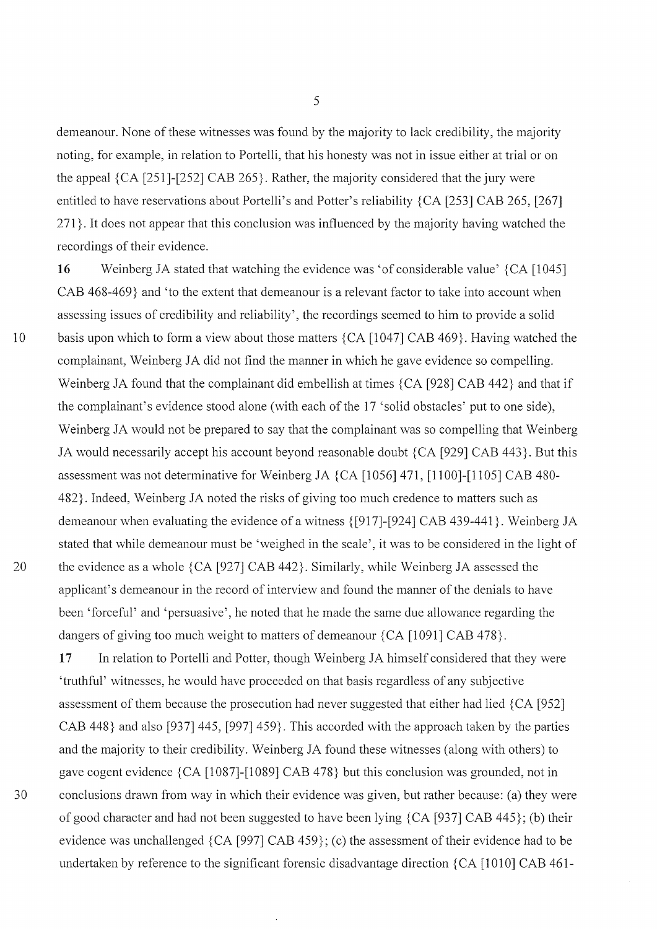demeanour. None of these witnesses was found by the majority to lack credibility, the majority noting, for example, in relation to Portelli, that his honesty was not in issue either at trial or on the appeal  ${CA}$  [251]-[252] CAB 265 $}$ . Rather, the majority considered that the jury were entitled to have reservations about Portelli's and Potter's reliability  ${CA}$  [253] CAB 265, [267]  $271$ . It does not appear that this conclusion was influenced by the majority having watched the recordings of their evidence

16 Weinberg JA stated that watching the evidence was 'of considerable value' {CA [1045] CAB 468-469} and 'to the extent that demeanour is a relevant factor to take into account when assessing issues of credibility and reliability', the recordings seemed to him to provide a solid basis upon which to form a view about those matters  $\{CA \mid 1047\}$  CAB 469 $\}$ . Having watched the complainant, Weinberg JA did not find the manner in which he gave evidence so compelling. Weinberg JA found that the complainant did embellish at times  ${CA}$  [928] CAB 442} and that if the complainant's evidence stood alone (with each of the 17 'solid obstacles' put to one side), Weinberg JA would not be prepared to say that the complainant was so compelling that Weinberg JA would necessarily accept his account beyond reasonable doubt  ${CA}$  [929] CAB 443}. But this assessment was not determinative for Weinberg JA  $\{CA$  [1056] 471, [1100]-[1105] CAB 480-482. Indeed, Weinberg JA noted the risks of giving too much credence to matters such as demeanour when evaluating the evidence of a witness  $\{[917]-[924]$  CAB 439-441}. Weinberg JA stated that while demeanour must be 'weighed in the scale', it was to be considered in the light of the evidence as a whole  ${CA}$  [927] CAB 442 $}$ . Similarly, while Weinberg JA assessed the applicant's demeanour in the record of interview and found the manner of the denials to have been 'forceful' and 'persuasive', he noted that he made the same due allowance regarding the dangers of giving too much weight to matters of demeanour  ${CA}$  [1091] CAB 478}.

17 In relation to Portelli and Potter, though Weinberg JA himself considered that they were 'truthful' witnesses, he would have proceeded on that basis regardless of any subjective assessment of them because the prosecution had never suggested that either had lied  ${CA}$  [952] CAB 448} and also [937] 445, [997] 459}. This accorded with the approach taken by the parties and the majority to their credibility. Weinberg JA found these witnesses (along with others) to gave cogent evidence  ${CA}$  [1087]-[1089] CAB 478} but this conclusion was grounded, not in conclusions drawn from way in which their evidence was given, but rather because: (a) they were of good character and had not been suggested to have been lying  ${CA}$  [937] CAB 445; (b) their evidence was unchallenged  $\{CA$  [997] CAB 459 $\}$ ; (c) the assessment of their evidence had to be undertaken by reference to the significant forensic disadvantage direction  ${CA}$  [1010] CAB 461-

>

20

30